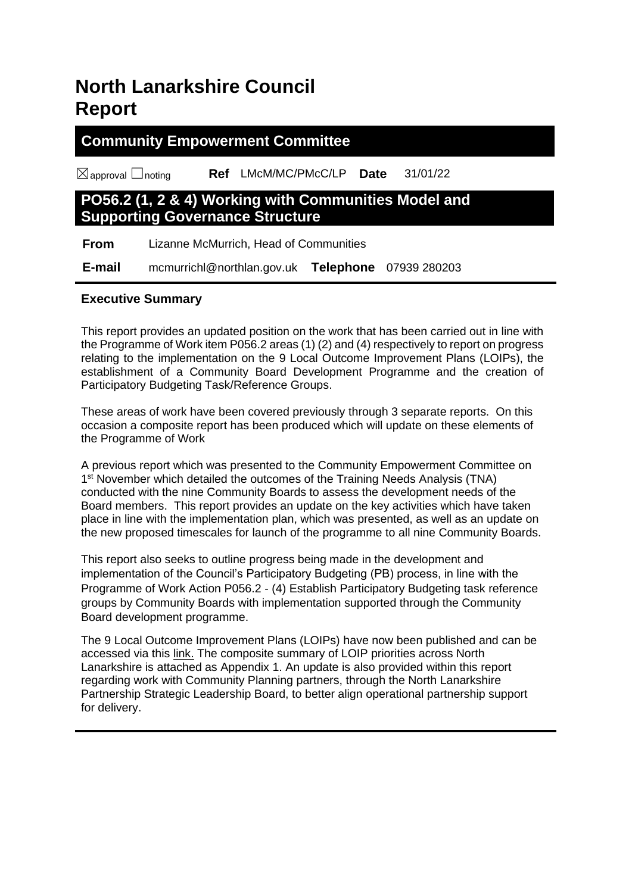## **North Lanarkshire Council Report**

## **Community Empowerment Committee**

☒approval ☐noting **Ref** LMcM/MC/PMcC/LP **Date** 31/01/22

## **PO56.2 (1, 2 & 4) Working with Communities Model and Supporting Governance Structure**

 **From** Lizanne McMurrich, Head of Communities

 **E-mail** mcmurrichl@northlan.gov.uk **Telephone** 07939 280203

#### **Executive Summary**

This report provides an updated position on the work that has been carried out in line with the Programme of Work item P056.2 areas (1) (2) and (4) respectively to report on progress relating to the implementation on the 9 Local Outcome Improvement Plans (LOIPs), the establishment of a Community Board Development Programme and the creation of Participatory Budgeting Task/Reference Groups.

These areas of work have been covered previously through 3 separate reports. On this occasion a composite report has been produced which will update on these elements of the Programme of Work

A previous report which was presented to the Community Empowerment Committee on 1<sup>st</sup> November which detailed the outcomes of the Training Needs Analysis (TNA) conducted with the nine Community Boards to assess the development needs of the Board members. This report provides an update on the key activities which have taken place in line with the implementation plan, which was presented, as well as an update on the new proposed timescales for launch of the programme to all nine Community Boards.

This report also seeks to outline progress being made in the development and implementation of the Council's Participatory Budgeting (PB) process, in line with the Programme of Work Action P056.2 - (4) Establish Participatory Budgeting task reference groups by Community Boards with implementation supported through the Community Board development programme.

The 9 Local Outcome Improvement Plans (LOIPs) have now been published and can be accessed via this [link.](https://www.northlanarkshire.gov.uk/your-community/working-communities/your-area/local-outcome-improvement-plans-loips) The composite summary of LOIP priorities across North Lanarkshire is attached as Appendix 1. An update is also provided within this report regarding work with Community Planning partners, through the North Lanarkshire Partnership Strategic Leadership Board, to better align operational partnership support for delivery.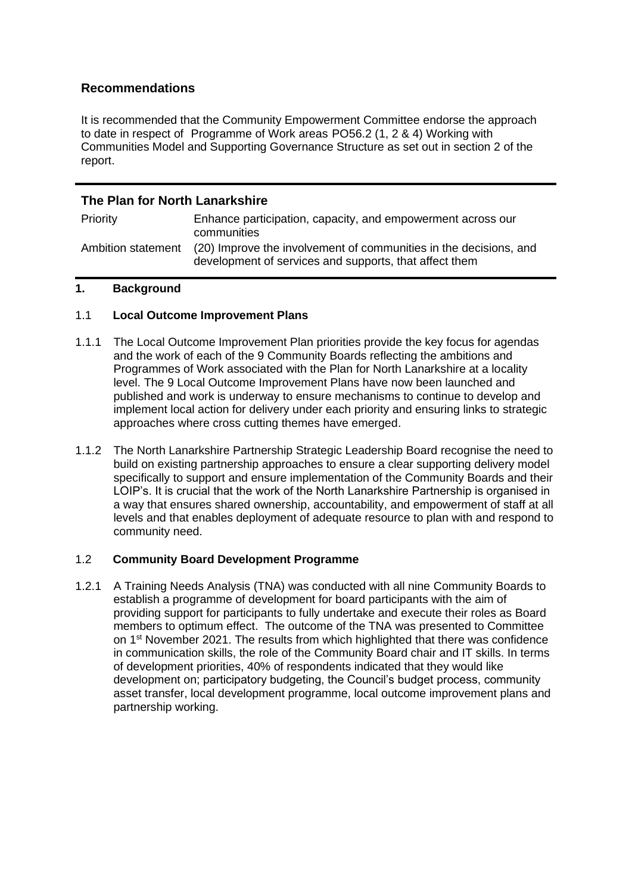#### **Recommendations**

It is recommended that the Community Empowerment Committee endorse the approach to date in respect of Programme of Work areas PO56.2 (1, 2 & 4) Working with Communities Model and Supporting Governance Structure as set out in section 2 of the report.

#### **The Plan for North Lanarkshire**

| Priority           | Enhance participation, capacity, and empowerment across our<br>communities                                                  |
|--------------------|-----------------------------------------------------------------------------------------------------------------------------|
| Ambition statement | (20) Improve the involvement of communities in the decisions, and<br>development of services and supports, that affect them |

#### **1. Background**

#### 1.1 **Local Outcome Improvement Plans**

- 1.1.1 The Local Outcome Improvement Plan priorities provide the key focus for agendas and the work of each of the 9 Community Boards reflecting the ambitions and Programmes of Work associated with the Plan for North Lanarkshire at a locality level. The 9 Local Outcome Improvement Plans have now been launched and published and work is underway to ensure mechanisms to continue to develop and implement local action for delivery under each priority and ensuring links to strategic approaches where cross cutting themes have emerged.
- 1.1.2 The North Lanarkshire Partnership Strategic Leadership Board recognise the need to build on existing partnership approaches to ensure a clear supporting delivery model specifically to support and ensure implementation of the Community Boards and their LOIP's. It is crucial that the work of the North Lanarkshire Partnership is organised in a way that ensures shared ownership, accountability, and empowerment of staff at all levels and that enables deployment of adequate resource to plan with and respond to community need.

#### 1.2 **Community Board Development Programme**

1.2.1 A Training Needs Analysis (TNA) was conducted with all nine Community Boards to establish a programme of development for board participants with the aim of providing support for participants to fully undertake and execute their roles as Board members to optimum effect. The outcome of the TNA was presented to Committee on 1<sup>st</sup> November 2021. The results from which highlighted that there was confidence in communication skills, the role of the Community Board chair and IT skills. In terms of development priorities, 40% of respondents indicated that they would like development on; participatory budgeting, the Council's budget process, community asset transfer, local development programme, local outcome improvement plans and partnership working.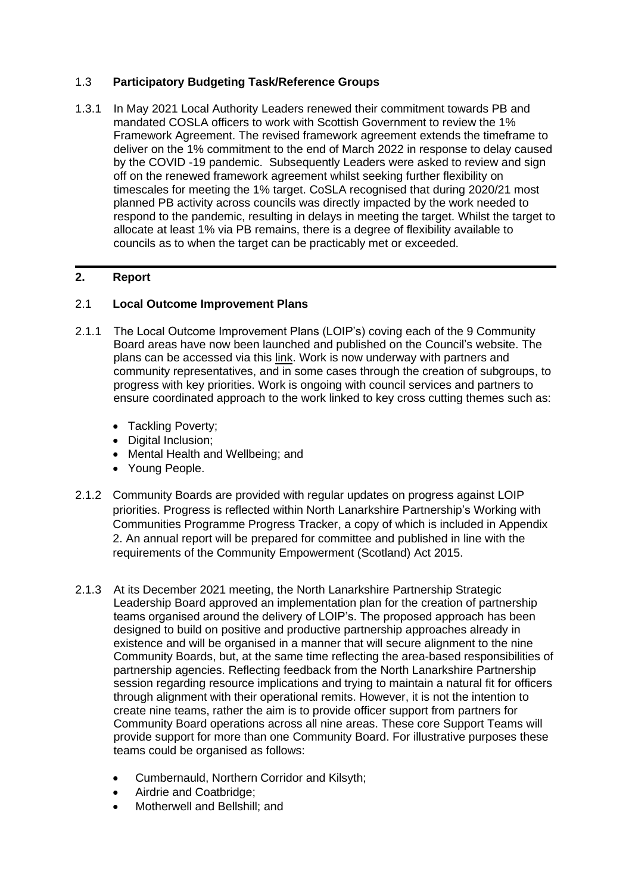#### 1.3 **Participatory Budgeting Task/Reference Groups**

1.3.1 In May 2021 Local Authority Leaders renewed their commitment towards PB and mandated COSLA officers to work with Scottish Government to review the 1% Framework Agreement. The revised framework agreement extends the timeframe to deliver on the 1% commitment to the end of March 2022 in response to delay caused by the COVID -19 pandemic. Subsequently Leaders were asked to review and sign off on the renewed framework agreement whilst seeking further flexibility on timescales for meeting the 1% target. CoSLA recognised that during 2020/21 most planned PB activity across councils was directly impacted by the work needed to respond to the pandemic, resulting in delays in meeting the target. Whilst the target to allocate at least 1% via PB remains, there is a degree of flexibility available to councils as to when the target can be practicably met or exceeded.

#### **2. Report**

#### 2.1 **Local Outcome Improvement Plans**

- 2.1.1 The Local Outcome Improvement Plans (LOIP's) coving each of the 9 Community Board areas have now been launched and published on the Council's website. The plans can be accessed via this [link.](https://www.northlanarkshire.gov.uk/your-community/working-communities/your-area/local-outcome-improvement-plans-loips) Work is now underway with partners and community representatives, and in some cases through the creation of subgroups, to progress with key priorities. Work is ongoing with council services and partners to ensure coordinated approach to the work linked to key cross cutting themes such as:
	- Tackling Poverty;
	- Digital Inclusion:
	- Mental Health and Wellbeing; and
	- Young People.
- 2.1.2 Community Boards are provided with regular updates on progress against LOIP priorities. Progress is reflected within North Lanarkshire Partnership's Working with Communities Programme Progress Tracker, a copy of which is included in Appendix 2. An annual report will be prepared for committee and published in line with the requirements of the Community Empowerment (Scotland) Act 2015.
- 2.1.3 At its December 2021 meeting, the North Lanarkshire Partnership Strategic Leadership Board approved an implementation plan for the creation of partnership teams organised around the delivery of LOIP's. The proposed approach has been designed to build on positive and productive partnership approaches already in existence and will be organised in a manner that will secure alignment to the nine Community Boards, but, at the same time reflecting the area-based responsibilities of partnership agencies. Reflecting feedback from the North Lanarkshire Partnership session regarding resource implications and trying to maintain a natural fit for officers through alignment with their operational remits. However, it is not the intention to create nine teams, rather the aim is to provide officer support from partners for Community Board operations across all nine areas. These core Support Teams will provide support for more than one Community Board. For illustrative purposes these teams could be organised as follows:
	- Cumbernauld, Northern Corridor and Kilsyth;
	- Airdrie and Coatbridge;
	- Motherwell and Bellshill; and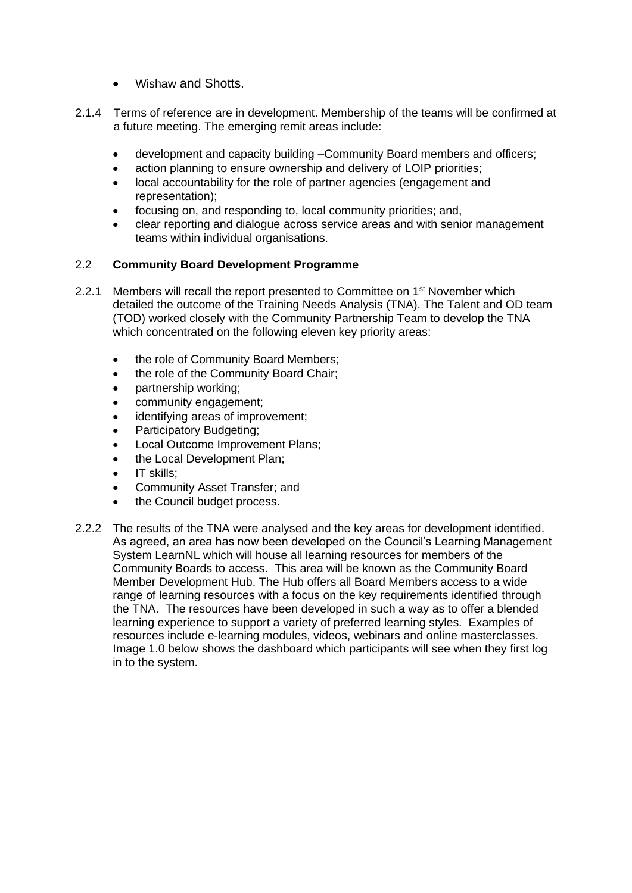- Wishaw and Shotts.
- 2.1.4 Terms of reference are in development. Membership of the teams will be confirmed at a future meeting. The emerging remit areas include:
	- development and capacity building –Community Board members and officers;
	- action planning to ensure ownership and delivery of LOIP priorities;
	- local accountability for the role of partner agencies (engagement and representation);
	- focusing on, and responding to, local community priorities; and,
	- clear reporting and dialogue across service areas and with senior management teams within individual organisations.

#### 2.2 **Community Board Development Programme**

- 2.2.1 Members will recall the report presented to Committee on 1<sup>st</sup> November which detailed the outcome of the Training Needs Analysis (TNA). The Talent and OD team (TOD) worked closely with the Community Partnership Team to develop the TNA which concentrated on the following eleven key priority areas:
	- the role of Community Board Members;
	- the role of the Community Board Chair;
	- partnership working;
	- community engagement;
	- identifying areas of improvement:
	- Participatory Budgeting;
	- Local Outcome Improvement Plans;
	- the Local Development Plan;
	- IT skills:
	- Community Asset Transfer; and
	- the Council budget process.
- 2.2.2 The results of the TNA were analysed and the key areas for development identified. As agreed, an area has now been developed on the Council's Learning Management System LearnNL which will house all learning resources for members of the Community Boards to access. This area will be known as the Community Board Member Development Hub. The Hub offers all Board Members access to a wide range of learning resources with a focus on the key requirements identified through the TNA. The resources have been developed in such a way as to offer a blended learning experience to support a variety of preferred learning styles. Examples of resources include e-learning modules, videos, webinars and online masterclasses. Image 1.0 below shows the dashboard which participants will see when they first log in to the system.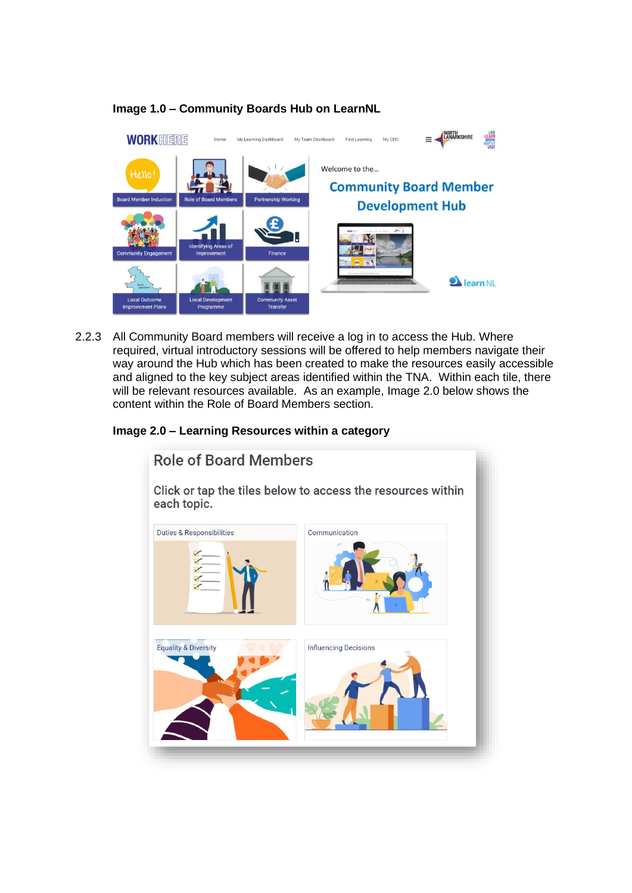

#### **Image 1.0 – Community Boards Hub on LearnNL**

2.2.3 All Community Board members will receive a log in to access the Hub. Where required, virtual introductory sessions will be offered to help members navigate their way around the Hub which has been created to make the resources easily accessible and aligned to the key subject areas identified within the TNA. Within each tile, there will be relevant resources available. As an example, Image 2.0 below shows the content within the Role of Board Members section.

#### **Image 2.0 – Learning Resources within a category**

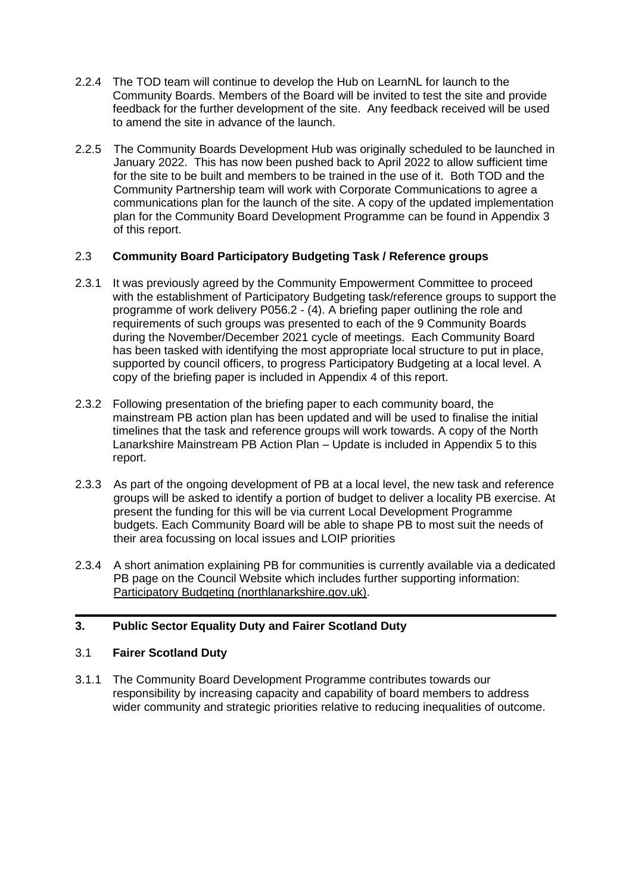- 2.2.4 The TOD team will continue to develop the Hub on LearnNL for launch to the Community Boards. Members of the Board will be invited to test the site and provide feedback for the further development of the site. Any feedback received will be used to amend the site in advance of the launch.
- 2.2.5 The Community Boards Development Hub was originally scheduled to be launched in January 2022. This has now been pushed back to April 2022 to allow sufficient time for the site to be built and members to be trained in the use of it. Both TOD and the Community Partnership team will work with Corporate Communications to agree a communications plan for the launch of the site. A copy of the updated implementation plan for the Community Board Development Programme can be found in Appendix 3 of this report.

#### 2.3 **Community Board Participatory Budgeting Task / Reference groups**

- 2.3.1 It was previously agreed by the Community Empowerment Committee to proceed with the establishment of Participatory Budgeting task/reference groups to support the programme of work delivery P056.2 - (4). A briefing paper outlining the role and requirements of such groups was presented to each of the 9 Community Boards during the November/December 2021 cycle of meetings. Each Community Board has been tasked with identifying the most appropriate local structure to put in place, supported by council officers, to progress Participatory Budgeting at a local level. A copy of the briefing paper is included in Appendix 4 of this report.
- 2.3.2 Following presentation of the briefing paper to each community board, the mainstream PB action plan has been updated and will be used to finalise the initial timelines that the task and reference groups will work towards. A copy of the North Lanarkshire Mainstream PB Action Plan – Update is included in Appendix 5 to this report.
- 2.3.3 As part of the ongoing development of PB at a local level, the new task and reference groups will be asked to identify a portion of budget to deliver a locality PB exercise. At present the funding for this will be via current Local Development Programme budgets. Each Community Board will be able to shape PB to most suit the needs of their area focussing on local issues and LOIP priorities
- 2.3.4 A short animation explaining PB for communities is currently available via a dedicated PB page on the Council Website which includes further supporting information: [Participatory Budgeting \(northlanarkshire.gov.uk\).](https://www.northlanarkshire.gov.uk/your-community/participatory-budgeting)

#### **3. Public Sector Equality Duty and Fairer Scotland Duty**

#### 3.1 **Fairer Scotland Duty**

3.1.1 The Community Board Development Programme contributes towards our responsibility by increasing capacity and capability of board members to address wider community and strategic priorities relative to reducing inequalities of outcome.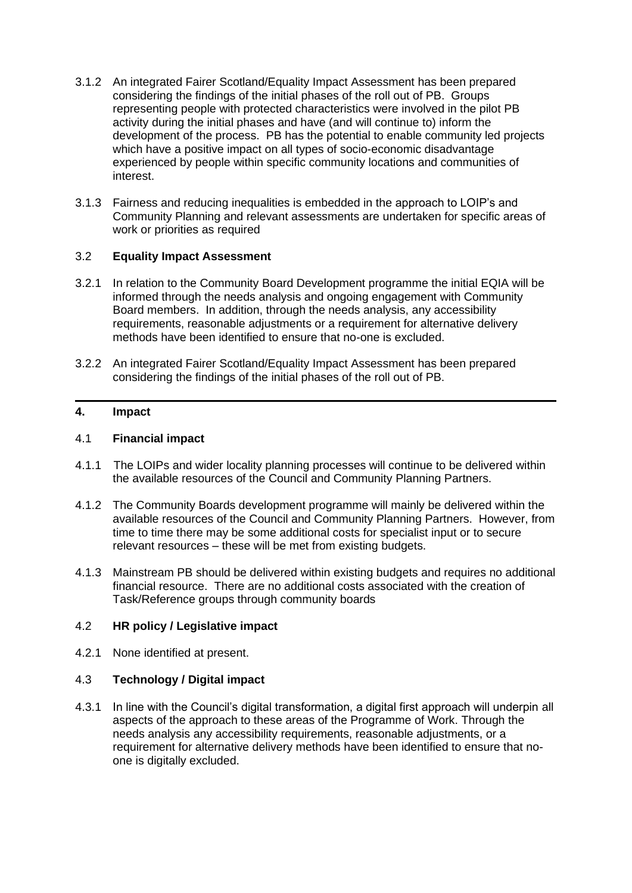- 3.1.2 An integrated Fairer Scotland/Equality Impact Assessment has been prepared considering the findings of the initial phases of the roll out of PB. Groups representing people with protected characteristics were involved in the pilot PB activity during the initial phases and have (and will continue to) inform the development of the process. PB has the potential to enable community led projects which have a positive impact on all types of socio-economic disadvantage experienced by people within specific community locations and communities of interest.
- 3.1.3 Fairness and reducing inequalities is embedded in the approach to LOIP's and Community Planning and relevant assessments are undertaken for specific areas of work or priorities as required

#### 3.2 **Equality Impact Assessment**

- 3.2.1 In relation to the Community Board Development programme the initial EQIA will be informed through the needs analysis and ongoing engagement with Community Board members. In addition, through the needs analysis, any accessibility requirements, reasonable adjustments or a requirement for alternative delivery methods have been identified to ensure that no-one is excluded.
- 3.2.2 An integrated Fairer Scotland/Equality Impact Assessment has been prepared considering the findings of the initial phases of the roll out of PB.

#### **4. Impact**

#### 4.1 **Financial impact**

- 4.1.1 The LOIPs and wider locality planning processes will continue to be delivered within the available resources of the Council and Community Planning Partners.
- 4.1.2 The Community Boards development programme will mainly be delivered within the available resources of the Council and Community Planning Partners. However, from time to time there may be some additional costs for specialist input or to secure relevant resources – these will be met from existing budgets.
- 4.1.3 Mainstream PB should be delivered within existing budgets and requires no additional financial resource. There are no additional costs associated with the creation of Task/Reference groups through community boards

#### 4.2 **HR policy / Legislative impact**

4.2.1 None identified at present.

#### 4.3 **Technology / Digital impact**

4.3.1 In line with the Council's digital transformation, a digital first approach will underpin all aspects of the approach to these areas of the Programme of Work. Through the needs analysis any accessibility requirements, reasonable adjustments, or a requirement for alternative delivery methods have been identified to ensure that noone is digitally excluded.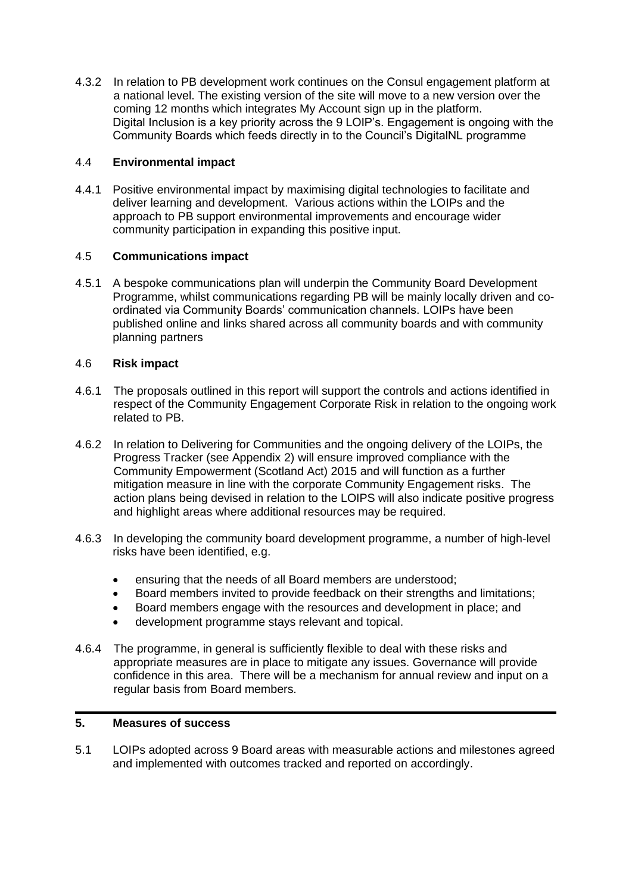4.3.2 In relation to PB development work continues on the Consul engagement platform at a national level. The existing version of the site will move to a new version over the coming 12 months which integrates My Account sign up in the platform. Digital Inclusion is a key priority across the 9 LOIP's. Engagement is ongoing with the Community Boards which feeds directly in to the Council's DigitalNL programme

#### 4.4 **Environmental impact**

4.4.1 Positive environmental impact by maximising digital technologies to facilitate and deliver learning and development. Various actions within the LOIPs and the approach to PB support environmental improvements and encourage wider community participation in expanding this positive input.

#### 4.5 **Communications impact**

4.5.1 A bespoke communications plan will underpin the Community Board Development Programme, whilst communications regarding PB will be mainly locally driven and coordinated via Community Boards' communication channels. LOIPs have been published online and links shared across all community boards and with community planning partners

#### 4.6 **Risk impact**

- 4.6.1 The proposals outlined in this report will support the controls and actions identified in respect of the Community Engagement Corporate Risk in relation to the ongoing work related to PB.
- 4.6.2 In relation to Delivering for Communities and the ongoing delivery of the LOIPs, the Progress Tracker (see Appendix 2) will ensure improved compliance with the Community Empowerment (Scotland Act) 2015 and will function as a further mitigation measure in line with the corporate Community Engagement risks. The action plans being devised in relation to the LOIPS will also indicate positive progress and highlight areas where additional resources may be required.
- 4.6.3 In developing the community board development programme, a number of high-level risks have been identified, e.g.
	- ensuring that the needs of all Board members are understood;
	- Board members invited to provide feedback on their strengths and limitations;
	- Board members engage with the resources and development in place; and
	- development programme stays relevant and topical.
- 4.6.4 The programme, in general is sufficiently flexible to deal with these risks and appropriate measures are in place to mitigate any issues. Governance will provide confidence in this area. There will be a mechanism for annual review and input on a regular basis from Board members.

#### **5. Measures of success**

5.1 LOIPs adopted across 9 Board areas with measurable actions and milestones agreed and implemented with outcomes tracked and reported on accordingly.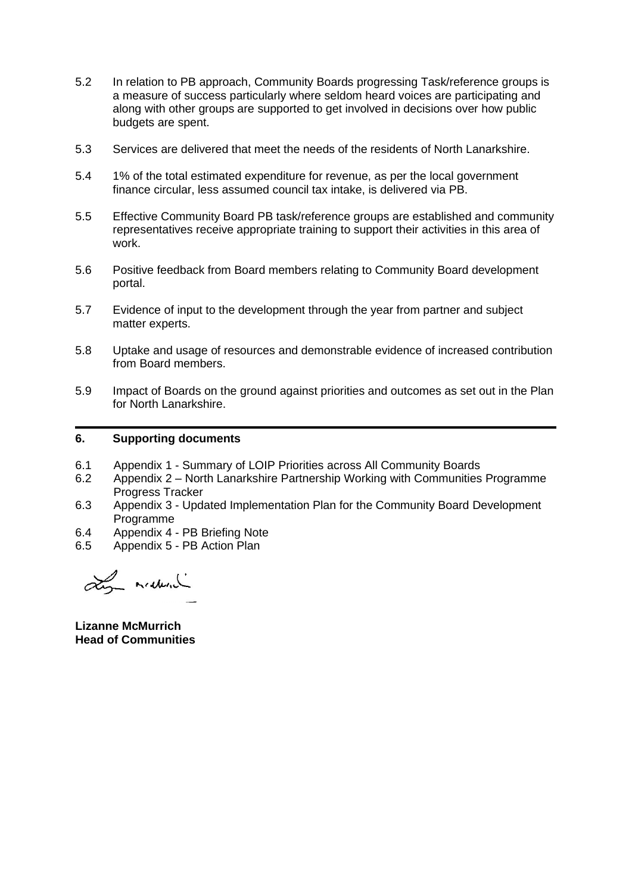- 5.2 In relation to PB approach, Community Boards progressing Task/reference groups is a measure of success particularly where seldom heard voices are participating and along with other groups are supported to get involved in decisions over how public budgets are spent.
- 5.3 Services are delivered that meet the needs of the residents of North Lanarkshire.
- 5.4 1% of the total estimated expenditure for revenue, as per the local government finance circular, less assumed council tax intake, is delivered via PB.
- 5.5 Effective Community Board PB task/reference groups are established and community representatives receive appropriate training to support their activities in this area of work.
- 5.6 Positive feedback from Board members relating to Community Board development portal.
- 5.7 Evidence of input to the development through the year from partner and subject matter experts.
- 5.8 Uptake and usage of resources and demonstrable evidence of increased contribution from Board members.
- 5.9 Impact of Boards on the ground against priorities and outcomes as set out in the Plan for North Lanarkshire.

#### **6. Supporting documents**

- 6.1 Appendix 1 Summary of LOIP Priorities across All Community Boards
- 6.2 Appendix 2 North Lanarkshire Partnership Working with Communities Programme Progress Tracker
- 6.3 Appendix 3 Updated Implementation Plan for the Community Board Development Programme
- 6.4 Appendix 4 PB Briefing Note
- 6.5 Appendix 5 PB Action Plan

Lin maderal

**Lizanne McMurrich Head of Communities**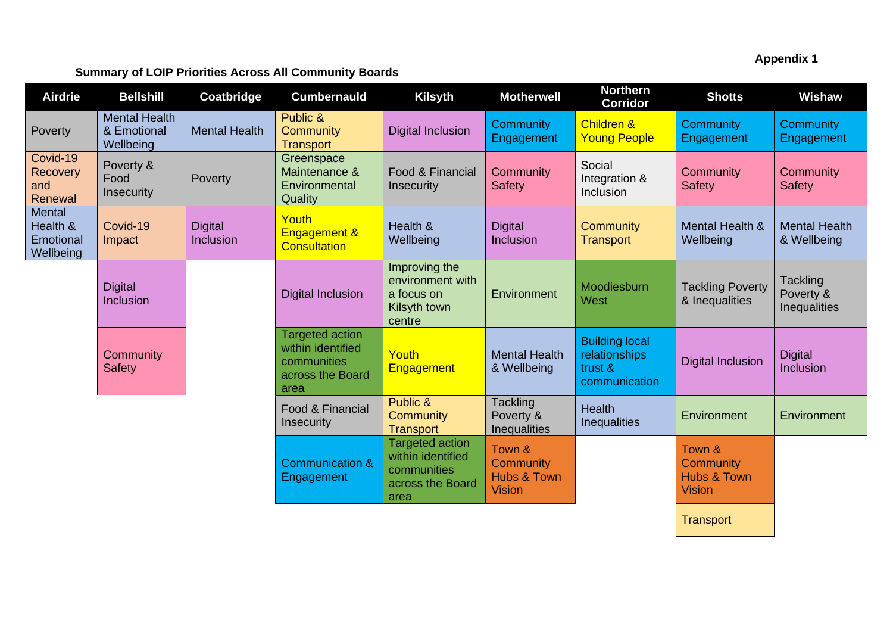**Appendix 1**

### **Summary of LOIP Priorities Across All Community Boards**

| <b>Airdrie</b>                                      | <b>Bellshill</b>                                 | Coatbridge                  | <b>Cumbernauld</b>                                                                     | <b>Kilsyth</b>                                                                         | <b>Motherwell</b>                                              | <b>Northern</b><br><b>Corridor</b>                                 | <b>Shotts</b>                                       | <b>Wishaw</b>                                |
|-----------------------------------------------------|--------------------------------------------------|-----------------------------|----------------------------------------------------------------------------------------|----------------------------------------------------------------------------------------|----------------------------------------------------------------|--------------------------------------------------------------------|-----------------------------------------------------|----------------------------------------------|
| Poverty                                             | <b>Mental Health</b><br>& Emotional<br>Wellbeing | <b>Mental Health</b>        | Public &<br>Community<br><b>Transport</b>                                              | <b>Digital Inclusion</b>                                                               | <b>Community</b><br>Engagement                                 | <b>Children &amp;</b><br><b>Young People</b>                       | Community<br>Engagement                             | Community<br>Engagement                      |
| Covid-19<br>Recovery<br>and<br>Renewal              | Poverty &<br>Food<br>Insecurity                  | Poverty                     | Greenspace<br>Maintenance &<br>Environmental<br>Quality                                | Food & Financial<br>Insecurity                                                         | Community<br><b>Safety</b>                                     | Social<br>Integration &<br>Inclusion                               | Community<br><b>Safety</b>                          | Community<br><b>Safety</b>                   |
| <b>Mental</b><br>Health &<br>Emotional<br>Wellbeing | Covid-19<br>Impact                               | <b>Digital</b><br>Inclusion | Youth<br><b>Engagement &amp;</b><br><b>Consultation</b>                                | Health &<br>Wellbeing                                                                  | <b>Digital</b><br>Inclusion                                    | Community<br><b>Transport</b>                                      | <b>Mental Health &amp;</b><br>Wellbeing             | <b>Mental Health</b><br>& Wellbeing          |
|                                                     | <b>Digital</b><br>Inclusion                      |                             | <b>Digital Inclusion</b>                                                               | Improving the<br>environment with<br>a focus on<br>Kilsyth town<br>centre              | Environment                                                    | Moodiesburn<br>West                                                | <b>Tackling Poverty</b><br>& Inequalities           | <b>Tackling</b><br>Poverty &<br>Inequalities |
|                                                     | Community<br><b>Safety</b>                       |                             | <b>Targeted action</b><br>within identified<br>communities<br>across the Board<br>area | Youth<br><b>Engagement</b>                                                             | <b>Mental Health</b><br>& Wellbeing                            | <b>Building local</b><br>relationships<br>trust &<br>communication | <b>Digital Inclusion</b>                            | <b>Digital</b><br>Inclusion                  |
|                                                     |                                                  |                             | Food & Financial<br><b>Insecurity</b>                                                  | Public &<br><b>Community</b><br><b>Transport</b>                                       | Tackling<br>Poverty &<br>Inequalities                          | <b>Health</b><br><b>Inequalities</b>                               | Environment                                         | Environment                                  |
|                                                     |                                                  |                             | <b>Communication &amp;</b><br>Engagement                                               | <b>Targeted action</b><br>within identified<br>communities<br>across the Board<br>area | Town &<br>Community<br><b>Hubs &amp; Town</b><br><b>Vision</b> |                                                                    | Town &<br>Community<br>Hubs & Town<br><b>Vision</b> |                                              |
|                                                     |                                                  |                             |                                                                                        |                                                                                        |                                                                |                                                                    | <b>Transport</b>                                    |                                              |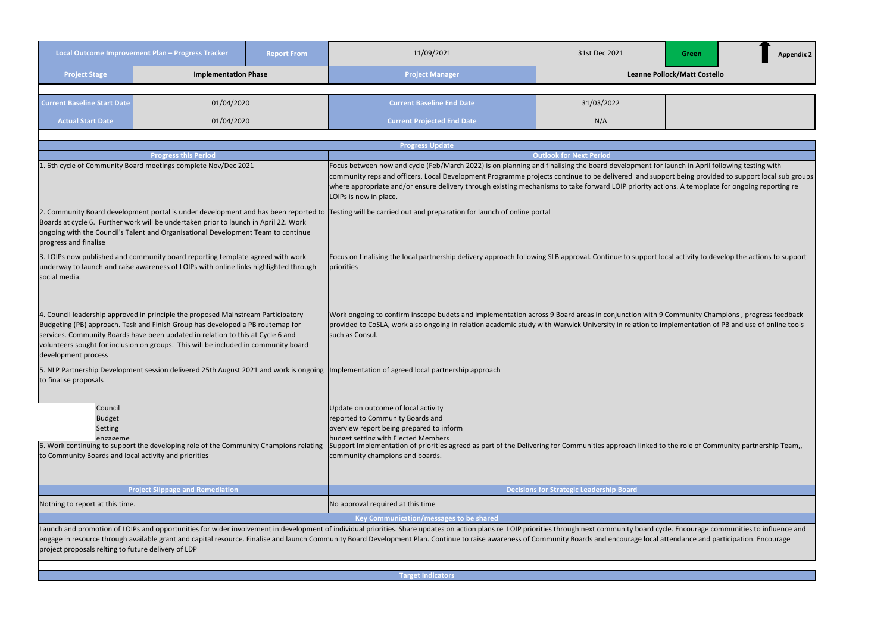**Target Indicators**

|                                                                                                                                                                                                          | Local Outcome Improvement Plan - Progress Tracker<br><b>Report From</b>                                                                                                                                                                                                                                                                       |  | 11/09/2021                                                                                                                                                                                                                                                                                                                                                                                                                                                                     | 31st Dec 2021                                   | Green |  | <b>Appendix 2</b> |  |
|----------------------------------------------------------------------------------------------------------------------------------------------------------------------------------------------------------|-----------------------------------------------------------------------------------------------------------------------------------------------------------------------------------------------------------------------------------------------------------------------------------------------------------------------------------------------|--|--------------------------------------------------------------------------------------------------------------------------------------------------------------------------------------------------------------------------------------------------------------------------------------------------------------------------------------------------------------------------------------------------------------------------------------------------------------------------------|-------------------------------------------------|-------|--|-------------------|--|
| <b>Project Stage</b>                                                                                                                                                                                     | <b>Implementation Phase</b>                                                                                                                                                                                                                                                                                                                   |  | <b>Project Manager</b>                                                                                                                                                                                                                                                                                                                                                                                                                                                         | Leanne Pollock/Matt Costello                    |       |  |                   |  |
|                                                                                                                                                                                                          |                                                                                                                                                                                                                                                                                                                                               |  |                                                                                                                                                                                                                                                                                                                                                                                                                                                                                |                                                 |       |  |                   |  |
| <b>Current Baseline Start Date</b>                                                                                                                                                                       | 01/04/2020                                                                                                                                                                                                                                                                                                                                    |  | <b>Current Baseline End Date</b>                                                                                                                                                                                                                                                                                                                                                                                                                                               | 31/03/2022                                      |       |  |                   |  |
| <b>Actual Start Date</b>                                                                                                                                                                                 | 01/04/2020                                                                                                                                                                                                                                                                                                                                    |  | <b>Current Projected End Date</b>                                                                                                                                                                                                                                                                                                                                                                                                                                              | N/A                                             |       |  |                   |  |
|                                                                                                                                                                                                          |                                                                                                                                                                                                                                                                                                                                               |  | <b>Progress Update</b>                                                                                                                                                                                                                                                                                                                                                                                                                                                         |                                                 |       |  |                   |  |
|                                                                                                                                                                                                          | <b>Progress this Period</b>                                                                                                                                                                                                                                                                                                                   |  |                                                                                                                                                                                                                                                                                                                                                                                                                                                                                | <b>Outlook for Next Period</b>                  |       |  |                   |  |
|                                                                                                                                                                                                          | . 6th cycle of Community Board meetings complete Nov/Dec 2021                                                                                                                                                                                                                                                                                 |  | Focus between now and cycle (Feb/March 2022) is on planning and finalising the board development for launch in April following testing with<br>community reps and officers. Local Development Programme projects continue to be delivered and support being provided to support local sub groups<br>where appropriate and/or ensure delivery through existing mechanisms to take forward LOIP priority actions. A temoplate for ongoing reporting re<br>LOIPs is now in place. |                                                 |       |  |                   |  |
| progress and finalise                                                                                                                                                                                    | Boards at cycle 6. Further work will be undertaken prior to launch in April 22. Work<br>ongoing with the Council's Talent and Organisational Development Team to continue                                                                                                                                                                     |  | 2. Community Board development portal is under development and has been reported to  Testing will be carried out and preparation for launch of online portal                                                                                                                                                                                                                                                                                                                   |                                                 |       |  |                   |  |
| social media.                                                                                                                                                                                            | 3. LOIPs now published and community board reporting template agreed with work<br>underway to launch and raise awareness of LOIPs with online links highlighted through                                                                                                                                                                       |  | Focus on finalising the local partnership delivery approach following SLB approval. Continue to support local activity to develop the actions to support<br>priorities                                                                                                                                                                                                                                                                                                         |                                                 |       |  |                   |  |
| development process                                                                                                                                                                                      | 4. Council leadership approved in principle the proposed Mainstream Participatory<br>Budgeting (PB) approach. Task and Finish Group has developed a PB routemap for<br>services. Community Boards have been updated in relation to this at Cycle 6 and<br>volunteers sought for inclusion on groups. This will be included in community board |  | Work ongoing to confirm inscope budets and implementation across 9 Board areas in conjunction with 9 Community Champions, progress feedback<br>provided to CoSLA, work also ongoing in relation academic study with Warwick University in relation to implementation of PB and use of online tools<br>such as Consul.                                                                                                                                                          |                                                 |       |  |                   |  |
| to finalise proposals                                                                                                                                                                                    |                                                                                                                                                                                                                                                                                                                                               |  | 5. NLP Partnership Development session delivered 25th August 2021 and work is ongoing  Implementation of agreed local partnership approach                                                                                                                                                                                                                                                                                                                                     |                                                 |       |  |                   |  |
| Council<br><b>Budget</b><br><b>Setting</b><br>engageme<br>6. Work continuing to support the developing role of the Community Champions relating<br>to Community Boards and local activity and priorities |                                                                                                                                                                                                                                                                                                                                               |  | Update on outcome of local activity<br>reported to Community Boards and<br>overview report being prepared to inform<br>budget setting with Flected Members<br>Support Implementation of priorities agreed as part of the Delivering for Communities approach linked to the role of Community partnership Team,,<br>community champions and boards.                                                                                                                             |                                                 |       |  |                   |  |
|                                                                                                                                                                                                          | <b>Project Slippage and Remediation</b>                                                                                                                                                                                                                                                                                                       |  |                                                                                                                                                                                                                                                                                                                                                                                                                                                                                | <b>Decisions for Strategic Leadership Board</b> |       |  |                   |  |
| Nothing to report at this time.                                                                                                                                                                          |                                                                                                                                                                                                                                                                                                                                               |  | No approval required at this time                                                                                                                                                                                                                                                                                                                                                                                                                                              |                                                 |       |  |                   |  |
|                                                                                                                                                                                                          |                                                                                                                                                                                                                                                                                                                                               |  | Key Communication/messages to be shared                                                                                                                                                                                                                                                                                                                                                                                                                                        |                                                 |       |  |                   |  |
| project proposals relting to future delivery of LDP                                                                                                                                                      |                                                                                                                                                                                                                                                                                                                                               |  | Launch and promotion of LOIPs and opportunities for wider involvement in development of individual priorities. Share updates on action plans re LOIP priorities through next community board cycle. Encourage communities to i<br>engage in resource through available grant and capital resource. Finalise and launch Community Board Development Plan. Continue to raise awareness of Community Boards and encourage local attendance and participation. Encou               |                                                 |       |  |                   |  |

| k/Matt Costello                                                                                                                 |
|---------------------------------------------------------------------------------------------------------------------------------|
|                                                                                                                                 |
|                                                                                                                                 |
|                                                                                                                                 |
| Inch in April following testing with<br>t being provided to support local sub groups<br>s. A temoplate for ongoing reporting re |
| activity to develop the actions to support                                                                                      |
| mmunity Champions, progress feedback<br>ementation of PB and use of online tools                                                |
|                                                                                                                                 |
| e role of Community partnership Team,,                                                                                          |
|                                                                                                                                 |
|                                                                                                                                 |
| Encourage communities to influence and<br>ndance and participation. Encourage                                                   |
|                                                                                                                                 |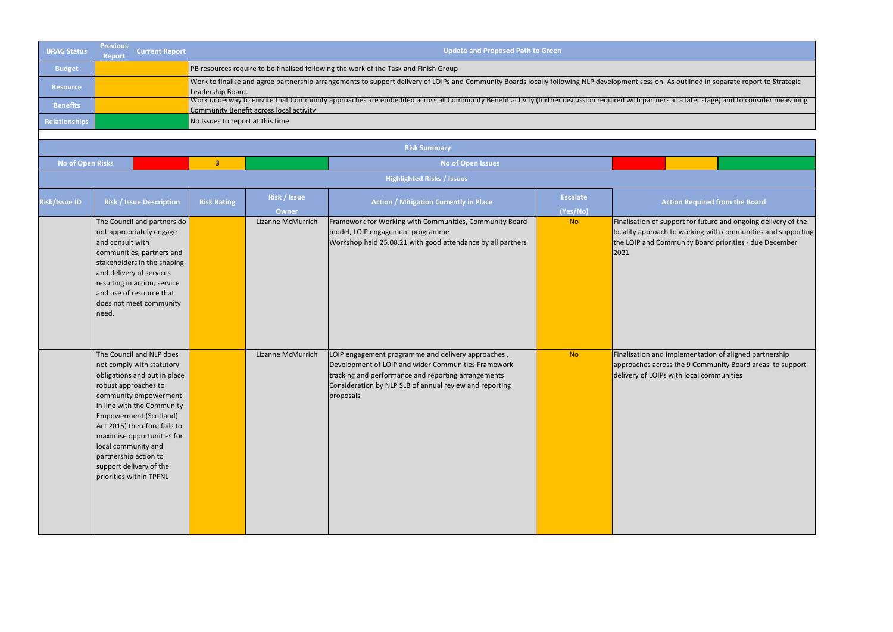| <b>BRAG Status</b>      | <b>Previous</b><br><b>Report</b>                                                                                                                     | <b>Current Report</b>                                                                                                                                                                                      |                                  |                                                                                                                                                     | <b>Update and Proposed Path to Green</b>                                                                                                                                                                                                 |                             |                                                                           |  |  |
|-------------------------|------------------------------------------------------------------------------------------------------------------------------------------------------|------------------------------------------------------------------------------------------------------------------------------------------------------------------------------------------------------------|----------------------------------|-----------------------------------------------------------------------------------------------------------------------------------------------------|------------------------------------------------------------------------------------------------------------------------------------------------------------------------------------------------------------------------------------------|-----------------------------|---------------------------------------------------------------------------|--|--|
| <b>Budget</b>           |                                                                                                                                                      |                                                                                                                                                                                                            |                                  |                                                                                                                                                     | PB resources require to be finalised following the work of the Task and Finish Group                                                                                                                                                     |                             |                                                                           |  |  |
| <b>Resource</b>         |                                                                                                                                                      |                                                                                                                                                                                                            | Leadership Board.                | Work to finalise and agree partnership arrangements to support delivery of LOIPs and Community Boards locally following NLP development session. As |                                                                                                                                                                                                                                          |                             |                                                                           |  |  |
| <b>Benefits</b>         |                                                                                                                                                      |                                                                                                                                                                                                            |                                  | Community Benefit across local activity                                                                                                             | Work underway to ensure that Community approaches are embedded across all Community Benefit activity (further discussion required with partners a                                                                                        |                             |                                                                           |  |  |
| <b>Relationships</b>    |                                                                                                                                                      |                                                                                                                                                                                                            | No Issues to report at this time |                                                                                                                                                     |                                                                                                                                                                                                                                          |                             |                                                                           |  |  |
|                         |                                                                                                                                                      |                                                                                                                                                                                                            |                                  |                                                                                                                                                     |                                                                                                                                                                                                                                          |                             |                                                                           |  |  |
|                         |                                                                                                                                                      |                                                                                                                                                                                                            |                                  |                                                                                                                                                     | <b>Risk Summary</b>                                                                                                                                                                                                                      |                             |                                                                           |  |  |
| <b>No of Open Risks</b> |                                                                                                                                                      |                                                                                                                                                                                                            | $\overline{\mathbf{3}}$          |                                                                                                                                                     | <b>No of Open Issues</b>                                                                                                                                                                                                                 |                             |                                                                           |  |  |
|                         |                                                                                                                                                      |                                                                                                                                                                                                            |                                  |                                                                                                                                                     | <b>Highlighted Risks / Issues</b>                                                                                                                                                                                                        |                             |                                                                           |  |  |
| <b>Risk/Issue ID</b>    |                                                                                                                                                      | <b>Risk / Issue Description</b>                                                                                                                                                                            | <b>Risk Rating</b>               | Risk / Issue<br><b>Owner</b>                                                                                                                        | <b>Action / Mitigation Currently in Place</b>                                                                                                                                                                                            | <b>Escalate</b><br>(Yes/No) | <b>Acti</b>                                                               |  |  |
|                         | not appropriately engage<br>and consult with<br>and delivery of services<br>and use of resource that<br>need.                                        | The Council and partners do<br>communities, partners and<br>stakeholders in the shaping<br>resulting in action, service<br>does not meet community                                                         |                                  | Lizanne McMurrich                                                                                                                                   | Framework for Working with Communities, Community Board<br>model, LOIP engagement programme<br>Workshop held 25.08.21 with good attendance by all partners                                                                               | <b>No</b>                   | Finalisation of supp<br>locality approach to<br>the LOIP and Comn<br>2021 |  |  |
|                         | robust approaches to<br>Empowerment (Scotland)<br>local community and<br>partnership action to<br>support delivery of the<br>priorities within TPFNL | The Council and NLP does<br>not comply with statutory<br>obligations and put in place<br>community empowerment<br>in line with the Community<br>Act 2015) therefore fails to<br>maximise opportunities for |                                  | Lizanne McMurrich                                                                                                                                   | LOIP engagement programme and delivery approaches,<br>Development of LOIP and wider Communities Framework<br>tracking and performance and reporting arrangements<br>Consideration by NLP SLB of annual review and reporting<br>proposals | <b>No</b>                   | Finalisation and im<br>approaches across<br>delivery of LOIPs w           |  |  |

 $\mathfrak s$  outlined in separate report to Strategic

 $\overline{\text{at a later stage}}$  and to consider measuring

**on Required from the Board** 

oort for future and ongoing delivery of the o working with communities and supporting nunity Board priorities - due December

Iplementation of aligned partnership the 9 Community Board areas to support ith local communities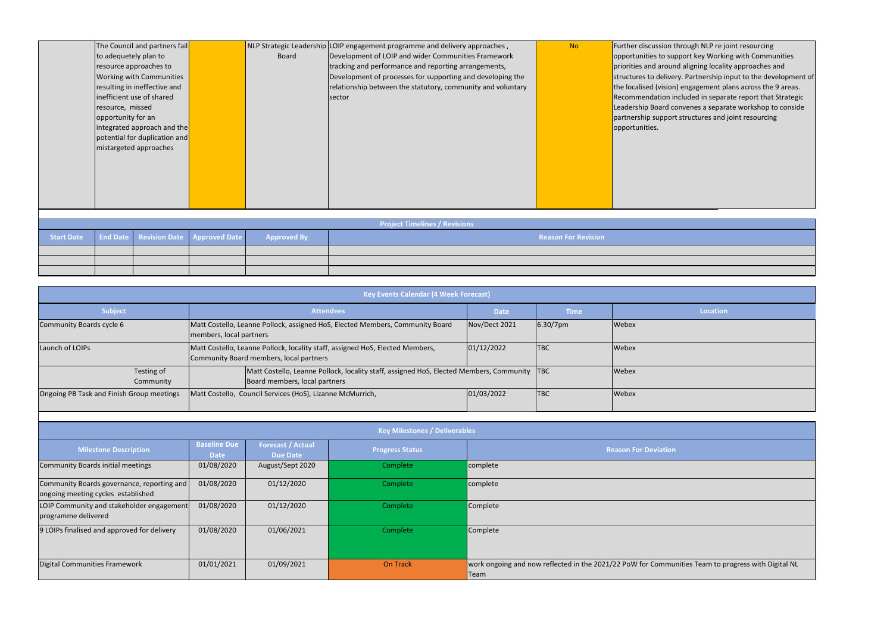| Further discussion t       |
|----------------------------|
| opportunities to su        |
| priorities and arour       |
| structures to delive       |
| the localised (vision      |
| Recommendation in          |
| Leadership Board co        |
| partnership suppor         |
| opportunities.             |
|                            |
|                            |
|                            |
|                            |
|                            |
|                            |
|                            |
|                            |
|                            |
| <b>Reason For Revision</b> |
|                            |

|                                           |                         |                                                           | <b>Key Events Calendar (4 Week Forecast)</b>                                                 |               |             |                 |
|-------------------------------------------|-------------------------|-----------------------------------------------------------|----------------------------------------------------------------------------------------------|---------------|-------------|-----------------|
| <b>Subject</b>                            |                         |                                                           | <b>Attendees</b>                                                                             | <b>Date</b>   | <b>Time</b> | <b>Location</b> |
| Community Boards cycle 6                  | members, local partners |                                                           | Matt Costello, Leanne Pollock, assigned HoS, Elected Members, Community Board                | Nov/Dect 2021 | 6.30/7pm    | Webex           |
| Launch of LOIPs                           |                         | Community Board members, local partners                   | Matt Costello, Leanne Pollock, locality staff, assigned HoS, Elected Members,                | 01/12/2022    | <b>TBC</b>  | Webex           |
| Testing of<br>Community                   |                         | Board members, local partners                             | Matt Costello, Leanne Pollock, locality staff, assigned HoS, Elected Members, Community  TBC |               |             | Webex           |
| Ongoing PB Task and Finish Group meetings |                         | Matt Costello, Council Services (HoS), Lizanne McMurrich, |                                                                                              | 01/03/2022    | <b>TBC</b>  | Webex           |

|                                                                                  |                                    |                                             | <b>Key Milestones / Deliverables</b> |                                                                     |
|----------------------------------------------------------------------------------|------------------------------------|---------------------------------------------|--------------------------------------|---------------------------------------------------------------------|
| <b>Milestone Description</b>                                                     | <b>Baseline Due</b><br><b>Date</b> | <b>Forecast / Actual</b><br><b>Due Date</b> | <b>Progress Status</b>               | <b>Reason For Deviation</b>                                         |
| Community Boards initial meetings                                                | 01/08/2020                         | August/Sept 2020                            | Complete                             | complete                                                            |
| Community Boards governance, reporting and<br>ongoing meeting cycles established | 01/08/2020                         | 01/12/2020                                  | Complete                             | complete                                                            |
| LOIP Community and stakeholder engagement<br>programme delivered                 | 01/08/2020                         | 01/12/2020                                  | Complete                             | Complete                                                            |
| 9 LOIPs finalised and approved for delivery                                      | 01/08/2020                         | 01/06/2021                                  | Complete                             | Complete                                                            |
| Digital Communities Framework                                                    | 01/01/2021                         | 01/09/2021                                  | <b>On Track</b>                      | work ongoing and now reflected in the 2021/22 PoW for Commu<br>Team |

through NLP re joint resourcing pport key Working with Communities nd aligning locality approaches and ery. Partnership input to the development of n) engagement plans across the 9 areas. included in separate report that Strategic convenes a separate workshop to conside rt structures and joint resourcing ounities Team to progress with Digital NL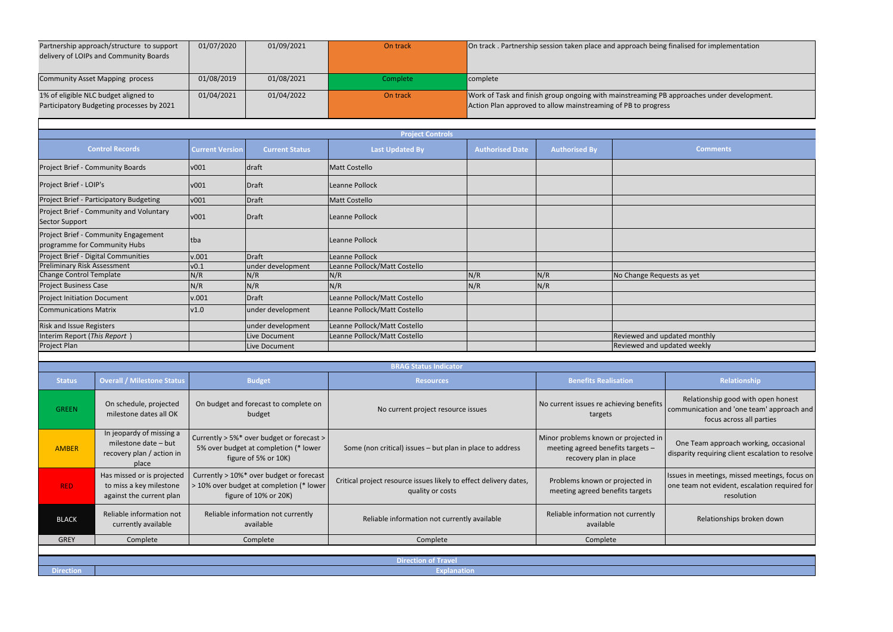One Team approach working, occasional disparity requiring client escalation to resolve

sues in meetings, missed meetings, focus on ne team not evident, escalation required for resolution

#### Relationships broken down

|                                    | Partnership approach/structure to support<br>delivery of LOIPs and Community Boards    | 01/07/2020                                                                                                    | 01/09/2021                                      | On track                                                                              |                        |                                                                                                     | On track . Partnership session taken place and approach being finalised for implementation                                                                 |                                                                                          |  |
|------------------------------------|----------------------------------------------------------------------------------------|---------------------------------------------------------------------------------------------------------------|-------------------------------------------------|---------------------------------------------------------------------------------------|------------------------|-----------------------------------------------------------------------------------------------------|------------------------------------------------------------------------------------------------------------------------------------------------------------|------------------------------------------------------------------------------------------|--|
|                                    | Community Asset Mapping process                                                        | 01/08/2019                                                                                                    | 01/08/2021                                      | Complete                                                                              | complete               |                                                                                                     |                                                                                                                                                            |                                                                                          |  |
|                                    | 1% of eligible NLC budget aligned to<br>Participatory Budgeting processes by 2021      | 01/04/2021                                                                                                    | 01/04/2022                                      | On track                                                                              |                        |                                                                                                     | Work of Task and finish group ongoing with mainstreaming PB approaches under development.<br>Action Plan approved to allow mainstreaming of PB to progress |                                                                                          |  |
|                                    |                                                                                        |                                                                                                               |                                                 |                                                                                       |                        |                                                                                                     |                                                                                                                                                            |                                                                                          |  |
|                                    | <b>Control Records</b>                                                                 | <b>Current Version</b>                                                                                        | <b>Current Status</b>                           | <b>Project Controls</b><br><b>Last Updated By</b>                                     | <b>Authorised Date</b> | <b>Authorised By</b>                                                                                |                                                                                                                                                            | <b>Comments</b>                                                                          |  |
|                                    | Project Brief - Community Boards                                                       | v001                                                                                                          | draft                                           | Matt Costello                                                                         |                        |                                                                                                     |                                                                                                                                                            |                                                                                          |  |
| Project Brief - LOIP's             |                                                                                        | v001                                                                                                          | <b>Draft</b>                                    | Leanne Pollock                                                                        |                        |                                                                                                     |                                                                                                                                                            |                                                                                          |  |
|                                    | Project Brief - Participatory Budgeting                                                | v001                                                                                                          | <b>Draft</b>                                    | Matt Costello                                                                         |                        |                                                                                                     |                                                                                                                                                            |                                                                                          |  |
| <b>Sector Support</b>              | Project Brief - Community and Voluntary                                                | v001                                                                                                          | <b>Draft</b>                                    | Leanne Pollock                                                                        |                        |                                                                                                     |                                                                                                                                                            |                                                                                          |  |
|                                    | Project Brief - Community Engagement<br>programme for Community Hubs                   | tba                                                                                                           |                                                 | Leanne Pollock                                                                        |                        |                                                                                                     |                                                                                                                                                            |                                                                                          |  |
|                                    | Project Brief - Digital Communities                                                    | v.001                                                                                                         | Draft                                           | Leanne Pollock                                                                        |                        |                                                                                                     |                                                                                                                                                            |                                                                                          |  |
| <b>Preliminary Risk Assessment</b> |                                                                                        | v0.1                                                                                                          | under development                               | Leanne Pollock/Matt Costello                                                          |                        |                                                                                                     |                                                                                                                                                            |                                                                                          |  |
| Change Control Template            |                                                                                        | N/R                                                                                                           | N/R                                             | N/R                                                                                   | N/R                    | N/R                                                                                                 | No Change Requests as yet                                                                                                                                  |                                                                                          |  |
| <b>Project Business Case</b>       |                                                                                        | N/R                                                                                                           | N/R                                             | N/R                                                                                   | N/R                    | N/R                                                                                                 |                                                                                                                                                            |                                                                                          |  |
| <b>Project Initiation Document</b> |                                                                                        | v.001                                                                                                         | <b>Draft</b>                                    | Leanne Pollock/Matt Costello                                                          |                        |                                                                                                     |                                                                                                                                                            |                                                                                          |  |
| <b>Communications Matrix</b>       |                                                                                        | v1.0                                                                                                          | under development                               | Leanne Pollock/Matt Costello                                                          |                        |                                                                                                     |                                                                                                                                                            |                                                                                          |  |
| Risk and Issue Registers           |                                                                                        |                                                                                                               | under development                               | Leanne Pollock/Matt Costello                                                          |                        |                                                                                                     |                                                                                                                                                            |                                                                                          |  |
| Interim Report (This Report)       |                                                                                        |                                                                                                               | Live Document                                   | Leanne Pollock/Matt Costello                                                          |                        |                                                                                                     |                                                                                                                                                            | Reviewed and updated monthly                                                             |  |
| Project Plan                       |                                                                                        |                                                                                                               | Live Document                                   |                                                                                       |                        |                                                                                                     | Reviewed and updated weekly                                                                                                                                |                                                                                          |  |
|                                    |                                                                                        |                                                                                                               |                                                 | <b>BRAG Status Indicator</b>                                                          |                        |                                                                                                     |                                                                                                                                                            |                                                                                          |  |
| <b>Status</b>                      | <b>Overall / Milestone Status</b>                                                      |                                                                                                               | <b>Budget</b>                                   | <b>Resources</b>                                                                      |                        | <b>Benefits Realisation</b>                                                                         |                                                                                                                                                            | Relationship                                                                             |  |
| <b>GREEN</b>                       | On schedule, projected<br>milestone dates all OK                                       | On budget and forecast to complete on<br>budget                                                               |                                                 | No current project resource issues                                                    |                        | No current issues re achieving benefits<br>targets                                                  |                                                                                                                                                            | Relationship good with oper<br>communication and 'one team' a<br>focus across all partie |  |
| <b>AMBER</b>                       | In jeopardy of missing a<br>milestone date - but<br>recovery plan / action in<br>place | Currently > 5%* over budget or forecast ><br>5% over budget at completion (* lower<br>figure of 5% or 10K)    |                                                 | Some (non critical) issues - but plan in place to address                             |                        | Minor problems known or projected in<br>meeting agreed benefits targets -<br>recovery plan in place |                                                                                                                                                            | One Team approach working,<br>disparity requiring client escalati                        |  |
| <b>RED</b>                         | Has missed or is projected<br>to miss a key milestone<br>against the current plan      | Currently > 10%* over budget or forecast<br>> 10% over budget at completion (* lower<br>figure of 10% or 20K) |                                                 | Critical project resource issues likely to effect delivery dates,<br>quality or costs |                        | Problems known or projected in<br>meeting agreed benefits targets                                   |                                                                                                                                                            | Issues in meetings, missed meeti<br>one team not evident, escalation<br>resolution       |  |
| <b>BLACK</b>                       | Reliable information not<br>currently available                                        |                                                                                                               | Reliable information not currently<br>available | Reliable information not currently available                                          |                        | Reliable information not currently<br>available                                                     |                                                                                                                                                            | Relationships broken do                                                                  |  |
| <b>GREY</b>                        | Complete                                                                               |                                                                                                               | Complete                                        | Complete                                                                              |                        | Complete                                                                                            |                                                                                                                                                            |                                                                                          |  |
|                                    |                                                                                        |                                                                                                               |                                                 |                                                                                       |                        |                                                                                                     |                                                                                                                                                            |                                                                                          |  |

|                  | Direction of Travel |
|------------------|---------------------|
| <b>Direction</b> | <b>Explanation</b>  |

| nalised for implementation   |
|------------------------------|
|                              |
|                              |
| pproaches under development. |
|                              |
|                              |
|                              |
| <b>Comments</b>              |
|                              |
|                              |
|                              |
|                              |
|                              |
|                              |
|                              |
| ts as yet                    |
|                              |
|                              |
|                              |
|                              |
| ated monthly                 |
| ated weekly                  |
|                              |

#### **Relationship**

Relationship good with open honest  $p$ mmunication and 'one team' approach and focus across all parties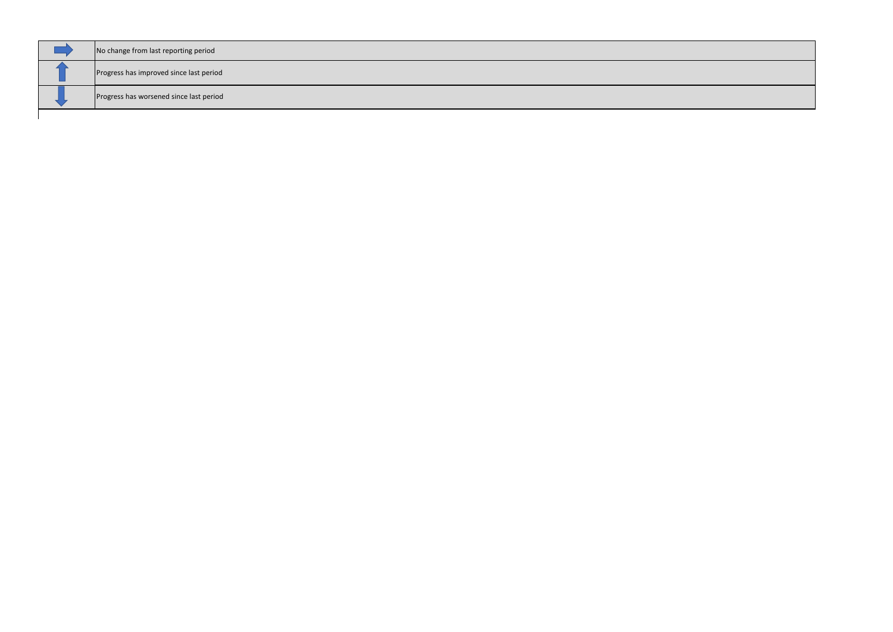| No change from last reporting period    |
|-----------------------------------------|
| Progress has improved since last period |
| Progress has worsened since last period |
|                                         |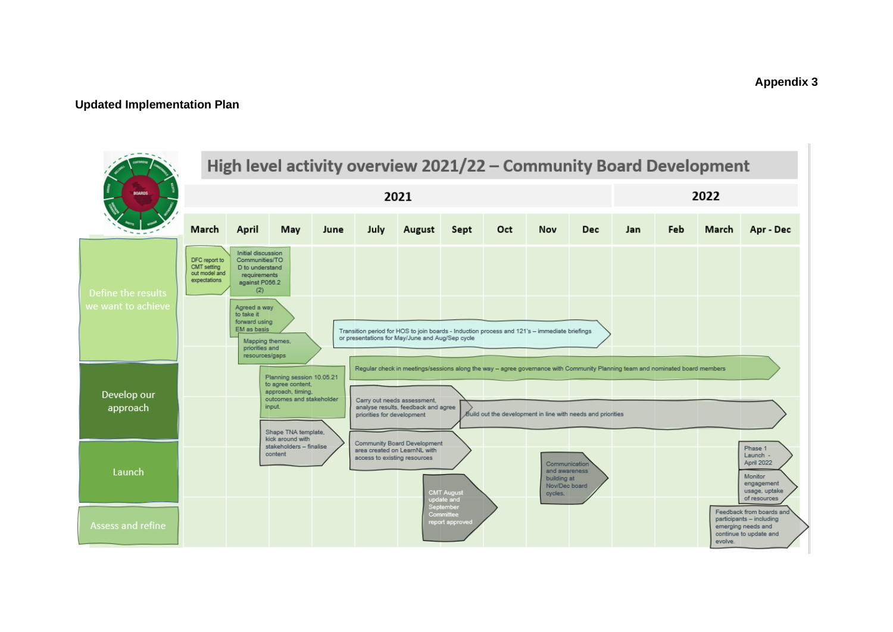#### **Updated Implementation Plan**

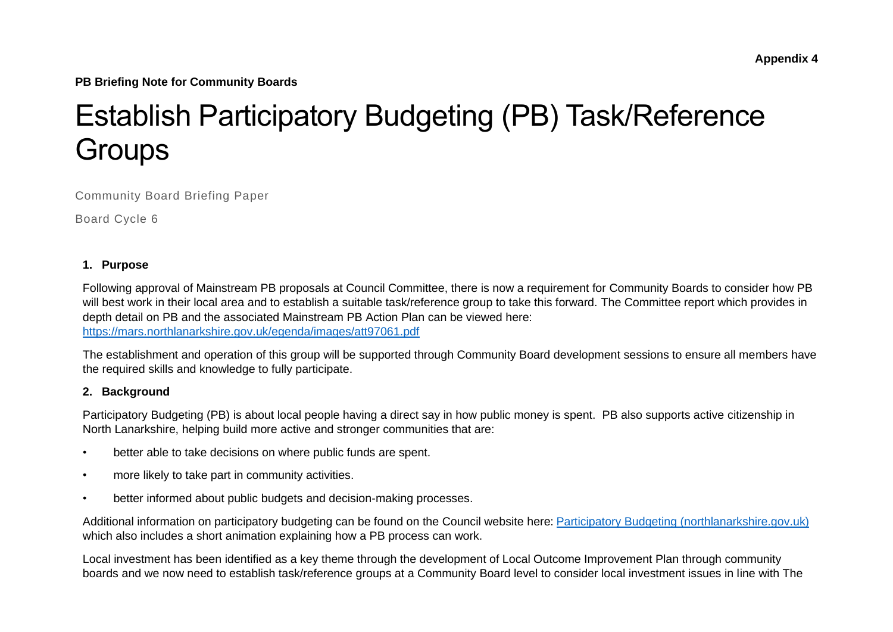**PB Briefing Note for Community Boards**

# Establish Participatory Budgeting (PB) Task/Reference **Groups**

Community Board Briefing Paper

Board Cycle 6

#### **1. Purpose**

Following approval of Mainstream PB proposals at Council Committee, there is now a requirement for Community Boards to consider how PB will best work in their local area and to establish a suitable task/reference group to take this forward. The Committee report which provides in depth detail on PB and the associated Mainstream PB Action Plan can be viewed here: <https://mars.northlanarkshire.gov.uk/egenda/images/att97061.pdf>

The establishment and operation of this group will be supported through Community Board development sessions to ensure all members have the required skills and knowledge to fully participate.

#### **2. Background**

Participatory Budgeting (PB) is about local people having a direct say in how public money is spent. PB also supports active citizenship in North Lanarkshire, helping build more active and stronger communities that are:

- better able to take decisions on where public funds are spent.
- more likely to take part in community activities.
- better informed about public budgets and decision-making processes.

Additional information on participatory budgeting can be found on the Council website here: [Participatory Budgeting \(northlanarkshire.gov.uk\)](https://www.northlanarkshire.gov.uk/your-community/participatory-budgeting) which also includes a short animation explaining how a PB process can work.

Local investment has been identified as a key theme through the development of Local Outcome Improvement Plan through community boards and we now need to establish task/reference groups at a Community Board level to consider local investment issues in line with The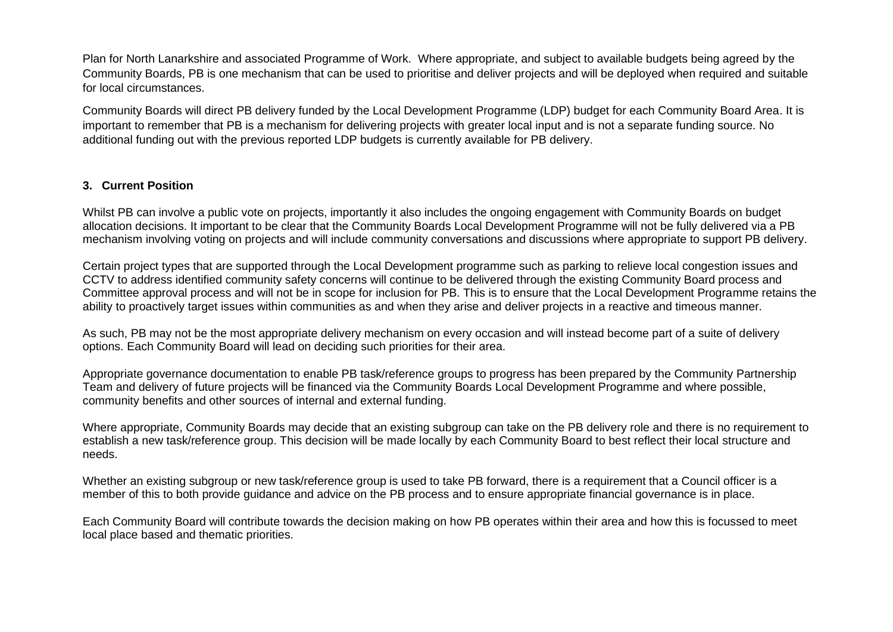Plan for North Lanarkshire and associated Programme of Work. Where appropriate, and subject to available budgets being agreed by the Community Boards, PB is one mechanism that can be used to prioritise and deliver projects and will be deployed when required and suitable for local circumstances.

Community Boards will direct PB delivery funded by the Local Development Programme (LDP) budget for each Community Board Area. It is important to remember that PB is a mechanism for delivering projects with greater local input and is not a separate funding source. No additional funding out with the previous reported LDP budgets is currently available for PB delivery.

#### **3. Current Position**

Whilst PB can involve a public vote on projects, importantly it also includes the ongoing engagement with Community Boards on budget allocation decisions. It important to be clear that the Community Boards Local Development Programme will not be fully delivered via a PB mechanism involving voting on projects and will include community conversations and discussions where appropriate to support PB delivery.

Certain project types that are supported through the Local Development programme such as parking to relieve local congestion issues and CCTV to address identified community safety concerns will continue to be delivered through the existing Community Board process and Committee approval process and will not be in scope for inclusion for PB. This is to ensure that the Local Development Programme retains the ability to proactively target issues within communities as and when they arise and deliver projects in a reactive and timeous manner.

As such, PB may not be the most appropriate delivery mechanism on every occasion and will instead become part of a suite of delivery options. Each Community Board will lead on deciding such priorities for their area.

Appropriate governance documentation to enable PB task/reference groups to progress has been prepared by the Community Partnership Team and delivery of future projects will be financed via the Community Boards Local Development Programme and where possible, community benefits and other sources of internal and external funding.

Where appropriate, Community Boards may decide that an existing subgroup can take on the PB delivery role and there is no requirement to establish a new task/reference group. This decision will be made locally by each Community Board to best reflect their local structure and needs.

Whether an existing subgroup or new task/reference group is used to take PB forward, there is a requirement that a Council officer is a member of this to both provide guidance and advice on the PB process and to ensure appropriate financial governance is in place.

Each Community Board will contribute towards the decision making on how PB operates within their area and how this is focussed to meet local place based and thematic priorities.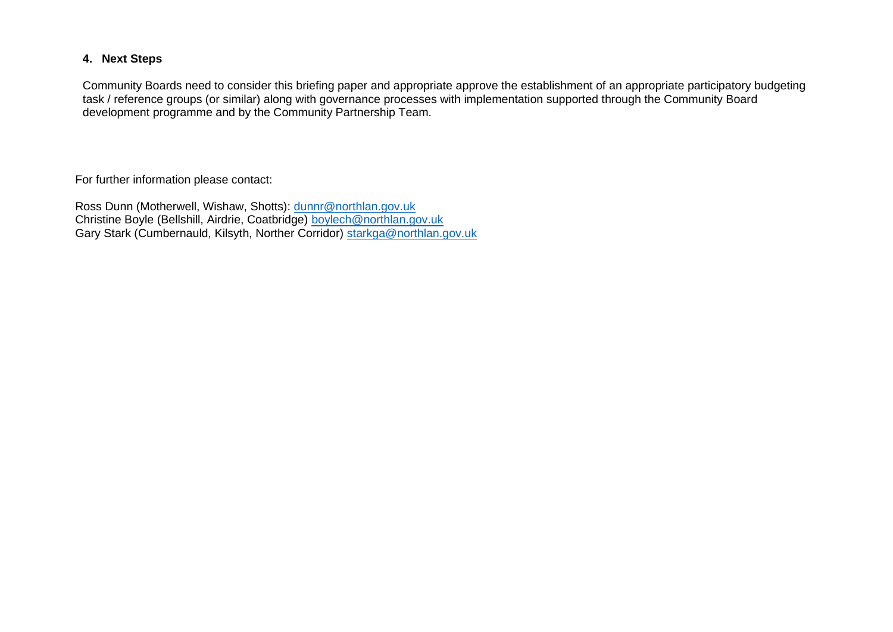#### **4. Next Steps**

Community Boards need to consider this briefing paper and appropriate approve the establishment of an appropriate participatory budgeting task / reference groups (or similar) along with governance processes with implementation supported through the Community Board development programme and by the Community Partnership Team.

For further information please contact:

Ross Dunn (Motherwell, Wishaw, Shotts): [dunnr@northlan.gov.uk](mailto:dunnr@northlan.gov.uk) Christine Boyle (Bellshill, Airdrie, Coatbridge) [boylech@northlan.gov.uk](mailto:boylech@northlan.gov.uk) Gary Stark (Cumbernauld, Kilsyth, Norther Corridor) [starkga@northlan.gov.uk](mailto:starkga@northlan.gov.uk)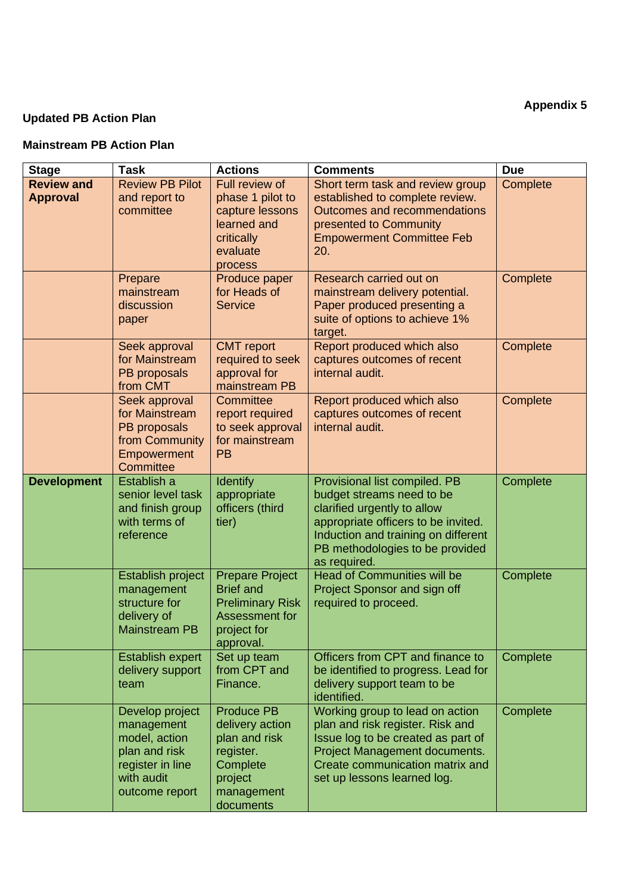## **Updated PB Action Plan**

#### **Mainstream PB Action Plan**

| <b>Stage</b>       | <b>Task</b>                                                                                                         | <b>Actions</b>                                                                                                       | <b>Comments</b>                                                                                                                                                                                                            | <b>Due</b> |
|--------------------|---------------------------------------------------------------------------------------------------------------------|----------------------------------------------------------------------------------------------------------------------|----------------------------------------------------------------------------------------------------------------------------------------------------------------------------------------------------------------------------|------------|
| <b>Review and</b>  | <b>Review PB Pilot</b>                                                                                              | Full review of                                                                                                       | Short term task and review group                                                                                                                                                                                           | Complete   |
| <b>Approval</b>    | and report to<br>committee                                                                                          | phase 1 pilot to<br>capture lessons<br>learned and<br>critically<br>evaluate                                         | established to complete review.<br>Outcomes and recommendations<br>presented to Community<br><b>Empowerment Committee Feb</b><br>20.                                                                                       |            |
|                    | Prepare<br>mainstream<br>discussion<br>paper                                                                        | process<br>Produce paper<br>for Heads of<br><b>Service</b>                                                           | Research carried out on<br>mainstream delivery potential.<br>Paper produced presenting a<br>suite of options to achieve 1%<br>target.                                                                                      | Complete   |
|                    | Seek approval<br>for Mainstream<br>PB proposals<br>from CMT                                                         | <b>CMT</b> report<br>required to seek<br>approval for<br>mainstream PB                                               | Report produced which also<br>captures outcomes of recent<br>internal audit.                                                                                                                                               | Complete   |
|                    | Seek approval<br>for Mainstream<br>PB proposals<br>from Community<br>Empowerment<br>Committee                       | Committee<br>report required<br>to seek approval<br>for mainstream<br><b>PB</b>                                      | Report produced which also<br>captures outcomes of recent<br>internal audit.                                                                                                                                               | Complete   |
| <b>Development</b> | Establish a<br>senior level task<br>and finish group<br>with terms of<br>reference                                  | <b>Identify</b><br>appropriate<br>officers (third<br>tier)                                                           | Provisional list compiled. PB<br>budget streams need to be<br>clarified urgently to allow<br>appropriate officers to be invited.<br>Induction and training on different<br>PB methodologies to be provided<br>as required. | Complete   |
|                    | Establish project<br>management<br>structure for<br>delivery of<br><b>Mainstream PB</b>                             | <b>Prepare Project</b><br><b>Brief and</b><br><b>Preliminary Risk</b><br>Assessment for<br>project for<br>approval.  | <b>Head of Communities will be</b><br>Project Sponsor and sign off<br>required to proceed.                                                                                                                                 | Complete   |
|                    | <b>Establish expert</b><br>delivery support<br>team                                                                 | Set up team<br>from CPT and<br>Finance.                                                                              | Officers from CPT and finance to<br>be identified to progress. Lead for<br>delivery support team to be<br>identified.                                                                                                      | Complete   |
|                    | Develop project<br>management<br>model, action<br>plan and risk<br>register in line<br>with audit<br>outcome report | <b>Produce PB</b><br>delivery action<br>plan and risk<br>register.<br>Complete<br>project<br>management<br>documents | Working group to lead on action<br>plan and risk register. Risk and<br>Issue log to be created as part of<br>Project Management documents.<br>Create communication matrix and<br>set up lessons learned log.               | Complete   |

**Appendix 5**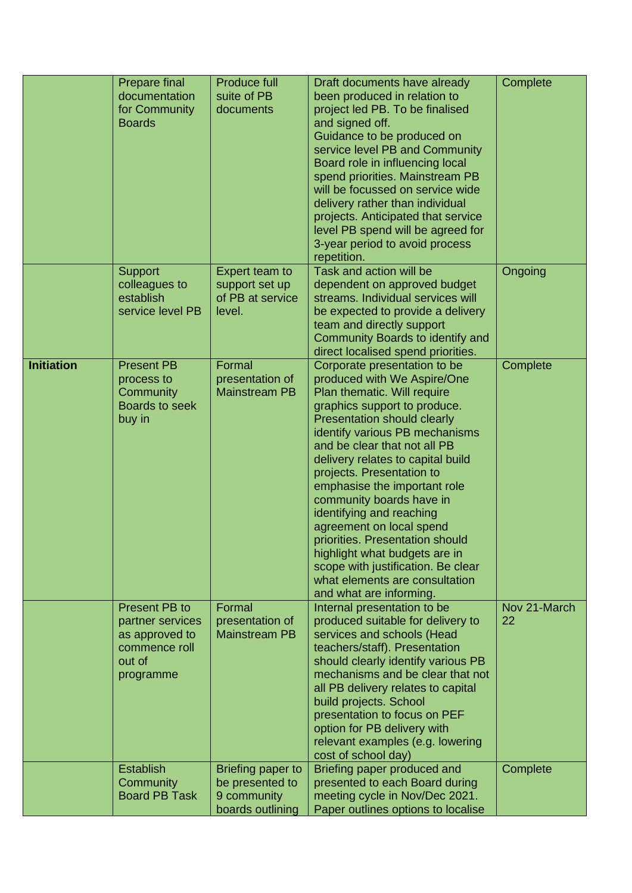|                   | Prepare final<br>documentation<br>for Community<br><b>Boards</b>                            | <b>Produce full</b><br>suite of PB<br>documents                         | Draft documents have already<br>been produced in relation to<br>project led PB. To be finalised<br>and signed off.<br>Guidance to be produced on<br>service level PB and Community<br>Board role in influencing local<br>spend priorities. Mainstream PB<br>will be focussed on service wide<br>delivery rather than individual<br>projects. Anticipated that service<br>level PB spend will be agreed for<br>3-year period to avoid process<br>repetition.                                                                                                                                     | Complete           |
|-------------------|---------------------------------------------------------------------------------------------|-------------------------------------------------------------------------|-------------------------------------------------------------------------------------------------------------------------------------------------------------------------------------------------------------------------------------------------------------------------------------------------------------------------------------------------------------------------------------------------------------------------------------------------------------------------------------------------------------------------------------------------------------------------------------------------|--------------------|
|                   | <b>Support</b><br>colleagues to<br>establish<br>service level PB                            | Expert team to<br>support set up<br>of PB at service<br>level.          | Task and action will be<br>dependent on approved budget<br>streams. Individual services will<br>be expected to provide a delivery<br>team and directly support<br>Community Boards to identify and<br>direct localised spend priorities.                                                                                                                                                                                                                                                                                                                                                        | Ongoing            |
| <b>Initiation</b> | <b>Present PB</b><br>process to<br>Community<br><b>Boards to seek</b><br>buy in             | Formal<br>presentation of<br><b>Mainstream PB</b>                       | Corporate presentation to be<br>produced with We Aspire/One<br>Plan thematic. Will require<br>graphics support to produce.<br><b>Presentation should clearly</b><br>identify various PB mechanisms<br>and be clear that not all PB<br>delivery relates to capital build<br>projects. Presentation to<br>emphasise the important role<br>community boards have in<br>identifying and reaching<br>agreement on local spend<br>priorities. Presentation should<br>highlight what budgets are in<br>scope with justification. Be clear<br>what elements are consultation<br>and what are informing. | Complete           |
|                   | Present PB to<br>partner services<br>as approved to<br>commence roll<br>out of<br>programme | Formal<br>presentation of<br><b>Mainstream PB</b>                       | Internal presentation to be<br>produced suitable for delivery to<br>services and schools (Head<br>teachers/staff). Presentation<br>should clearly identify various PB<br>mechanisms and be clear that not<br>all PB delivery relates to capital<br>build projects. School<br>presentation to focus on PEF<br>option for PB delivery with<br>relevant examples (e.g. lowering<br>cost of school day)                                                                                                                                                                                             | Nov 21-March<br>22 |
|                   | <b>Establish</b><br>Community<br><b>Board PB Task</b>                                       | Briefing paper to<br>be presented to<br>9 community<br>boards outlining | Briefing paper produced and<br>presented to each Board during<br>meeting cycle in Nov/Dec 2021.<br>Paper outlines options to localise                                                                                                                                                                                                                                                                                                                                                                                                                                                           | Complete           |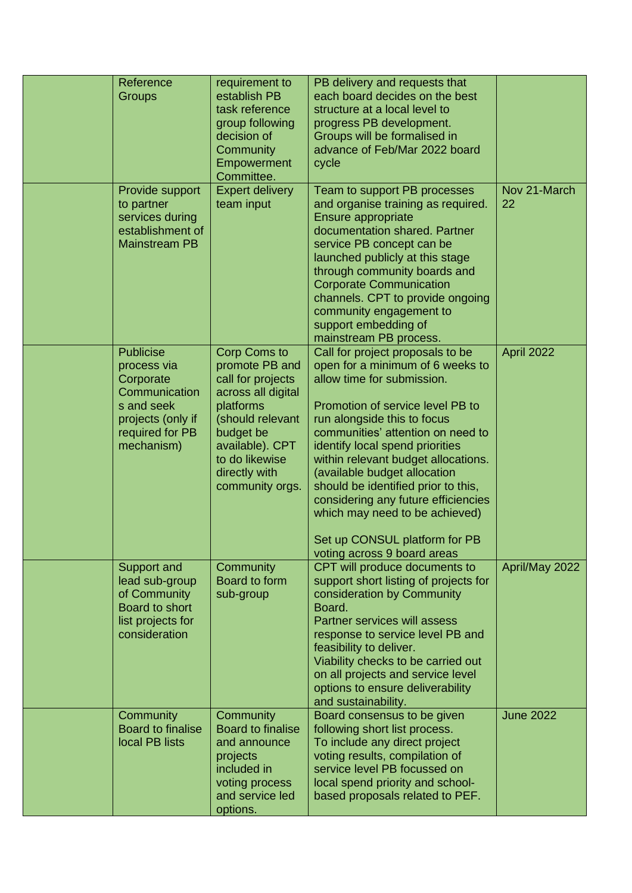| Reference<br>Groups                                                                                                               | requirement to<br>establish PB<br>task reference<br>group following<br>decision of<br>Community<br>Empowerment<br>Committee.                                                                            | PB delivery and requests that<br>each board decides on the best<br>structure at a local level to<br>progress PB development.<br>Groups will be formalised in<br>advance of Feb/Mar 2022 board<br>cycle                                                                                                                                                                                                                                                                                               |                    |
|-----------------------------------------------------------------------------------------------------------------------------------|---------------------------------------------------------------------------------------------------------------------------------------------------------------------------------------------------------|------------------------------------------------------------------------------------------------------------------------------------------------------------------------------------------------------------------------------------------------------------------------------------------------------------------------------------------------------------------------------------------------------------------------------------------------------------------------------------------------------|--------------------|
| Provide support<br>to partner<br>services during<br>establishment of<br><b>Mainstream PB</b>                                      | <b>Expert delivery</b><br>team input                                                                                                                                                                    | Team to support PB processes<br>and organise training as required.<br>Ensure appropriate<br>documentation shared. Partner<br>service PB concept can be<br>launched publicly at this stage<br>through community boards and<br><b>Corporate Communication</b><br>channels. CPT to provide ongoing<br>community engagement to<br>support embedding of<br>mainstream PB process.                                                                                                                         | Nov 21-March<br>22 |
| <b>Publicise</b><br>process via<br>Corporate<br>Communication<br>s and seek<br>projects (only if<br>required for PB<br>mechanism) | <b>Corp Coms to</b><br>promote PB and<br>call for projects<br>across all digital<br>platforms<br>(should relevant<br>budget be<br>available). CPT<br>to do likewise<br>directly with<br>community orgs. | Call for project proposals to be<br>open for a minimum of 6 weeks to<br>allow time for submission.<br>Promotion of service level PB to<br>run alongside this to focus<br>communities' attention on need to<br>identify local spend priorities<br>within relevant budget allocations.<br>(available budget allocation<br>should be identified prior to this,<br>considering any future efficiencies<br>which may need to be achieved)<br>Set up CONSUL platform for PB<br>voting across 9 board areas | April 2022         |
| <b>Support and</b><br>lead sub-group<br>of Community<br>Board to short<br>list projects for<br>consideration                      | Community<br>Board to form<br>sub-group                                                                                                                                                                 | CPT will produce documents to<br>support short listing of projects for<br>consideration by Community<br>Board.<br><b>Partner services will assess</b><br>response to service level PB and<br>feasibility to deliver.<br>Viability checks to be carried out<br>on all projects and service level<br>options to ensure deliverability<br>and sustainability.                                                                                                                                           | April/May 2022     |
| Community<br><b>Board to finalise</b><br>local PB lists                                                                           | Community<br><b>Board to finalise</b><br>and announce<br>projects<br>included in<br>voting process<br>and service led<br>options.                                                                       | Board consensus to be given<br>following short list process.<br>To include any direct project<br>voting results, compilation of<br>service level PB focussed on<br>local spend priority and school-<br>based proposals related to PEF.                                                                                                                                                                                                                                                               | <b>June 2022</b>   |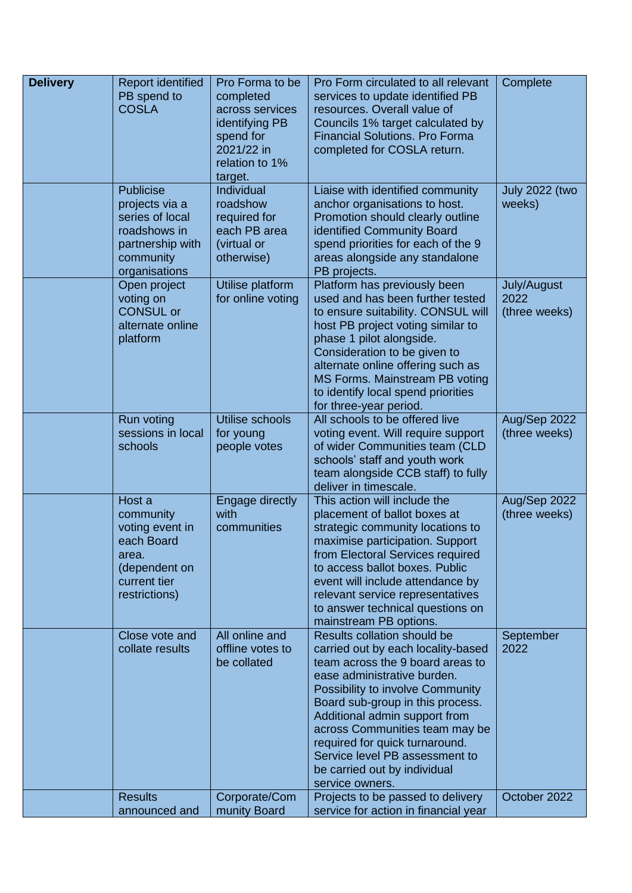| <b>Delivery</b> | <b>Report identified</b><br>PB spend to<br><b>COSLA</b>                                                                 | Pro Forma to be<br>completed<br>across services<br>identifying PB<br>spend for<br>2021/22 in<br>relation to 1%<br>target. | Pro Form circulated to all relevant<br>services to update identified PB<br>resources. Overall value of<br>Councils 1% target calculated by<br><b>Financial Solutions. Pro Forma</b><br>completed for COSLA return.                                                                                                                                                                                     | Complete                             |
|-----------------|-------------------------------------------------------------------------------------------------------------------------|---------------------------------------------------------------------------------------------------------------------------|--------------------------------------------------------------------------------------------------------------------------------------------------------------------------------------------------------------------------------------------------------------------------------------------------------------------------------------------------------------------------------------------------------|--------------------------------------|
|                 | <b>Publicise</b><br>projects via a<br>series of local<br>roadshows in<br>partnership with<br>community<br>organisations | Individual<br>roadshow<br>required for<br>each PB area<br>(virtual or<br>otherwise)                                       | Liaise with identified community<br>anchor organisations to host.<br>Promotion should clearly outline<br>identified Community Board<br>spend priorities for each of the 9<br>areas alongside any standalone<br>PB projects.                                                                                                                                                                            | <b>July 2022 (two</b><br>weeks)      |
|                 | Open project<br>voting on<br><b>CONSUL or</b><br>alternate online<br>platform                                           | Utilise platform<br>for online voting                                                                                     | Platform has previously been<br>used and has been further tested<br>to ensure suitability. CONSUL will<br>host PB project voting similar to<br>phase 1 pilot alongside.<br>Consideration to be given to<br>alternate online offering such as<br>MS Forms. Mainstream PB voting<br>to identify local spend priorities<br>for three-year period.                                                         | July/August<br>2022<br>(three weeks) |
|                 | <b>Run voting</b><br>sessions in local<br>schools                                                                       | Utilise schools<br>for young<br>people votes                                                                              | All schools to be offered live<br>voting event. Will require support<br>of wider Communities team (CLD<br>schools' staff and youth work<br>team alongside CCB staff) to fully<br>deliver in timescale.                                                                                                                                                                                                 | Aug/Sep 2022<br>(three weeks)        |
|                 | Host a<br>community<br>voting event in<br>each Board<br>area.<br>(dependent on<br>current tier<br>restrictions)         | Engage directly<br>with<br>communities                                                                                    | This action will include the<br>placement of ballot boxes at<br>strategic community locations to<br>maximise participation. Support<br>from Electoral Services required<br>to access ballot boxes. Public<br>event will include attendance by<br>relevant service representatives<br>to answer technical questions on<br>mainstream PB options.                                                        | Aug/Sep 2022<br>(three weeks)        |
|                 | Close vote and<br>collate results                                                                                       | All online and<br>offline votes to<br>be collated                                                                         | Results collation should be<br>carried out by each locality-based<br>team across the 9 board areas to<br>ease administrative burden.<br>Possibility to involve Community<br>Board sub-group in this process.<br>Additional admin support from<br>across Communities team may be<br>required for quick turnaround.<br>Service level PB assessment to<br>be carried out by individual<br>service owners. | September<br>2022                    |
|                 | <b>Results</b><br>announced and                                                                                         | Corporate/Com<br>munity Board                                                                                             | Projects to be passed to delivery<br>service for action in financial year                                                                                                                                                                                                                                                                                                                              | October 2022                         |